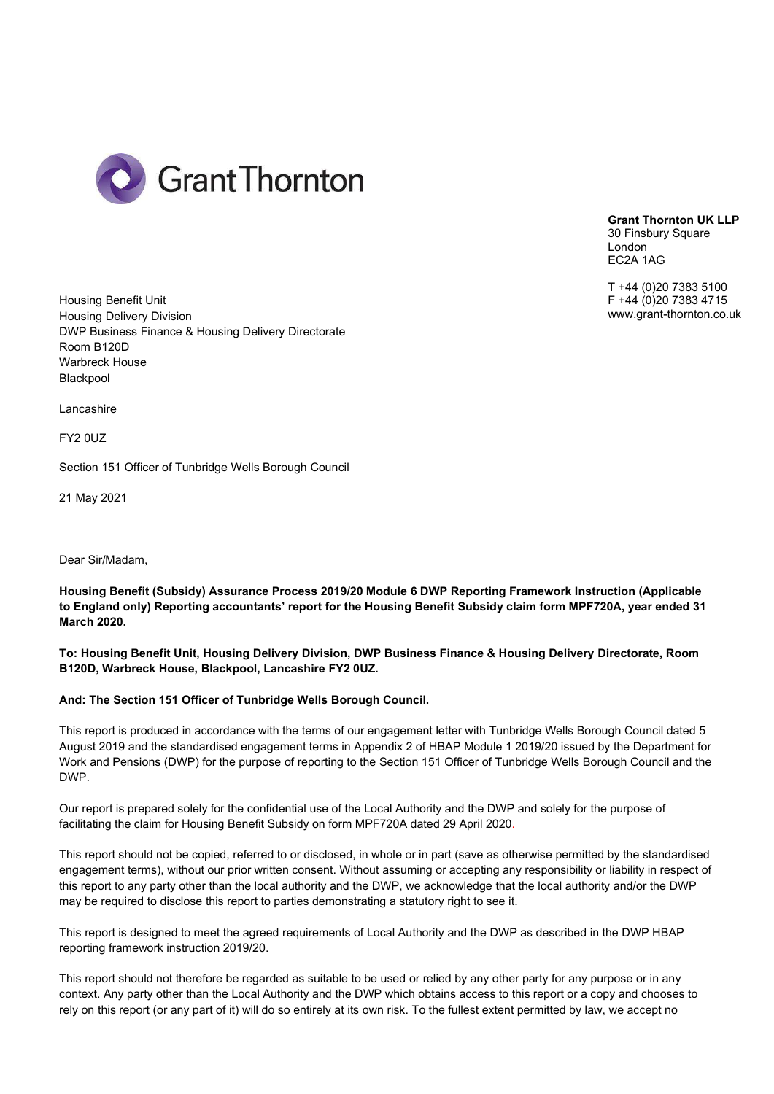

Grant Thornton UK LLP 30 Finsbury Square London EC2A 1AG

T +44 (0)20 7383 5100 F +44 (0)20 7383 4715 www.grant-thornton.co.uk

Housing Benefit Unit Housing Delivery Division DWP Business Finance & Housing Delivery Directorate Room B120D Warbreck House Blackpool

Lancashire

**FY20UZ** 

Section 151 Officer of Tunbridge Wells Borough Council

21 May 2021

Dear Sir/Madam,

Housing Benefit (Subsidy) Assurance Process 2019/20 Module 6 DWP Reporting Framework Instruction (Applicable to England only) Reporting accountants' report for the Housing Benefit Subsidy claim form MPF720A, year ended 31 March 2020.

To: Housing Benefit Unit, Housing Delivery Division, DWP Business Finance & Housing Delivery Directorate, Room B120D, Warbreck House, Blackpool, Lancashire FY2 0UZ.

#### And: The Section 151 Officer of Tunbridge Wells Borough Council.

This report is produced in accordance with the terms of our engagement letter with Tunbridge Wells Borough Council dated 5 August 2019 and the standardised engagement terms in Appendix 2 of HBAP Module 1 2019/20 issued by the Department for Work and Pensions (DWP) for the purpose of reporting to the Section 151 Officer of Tunbridge Wells Borough Council and the DWP.

Our report is prepared solely for the confidential use of the Local Authority and the DWP and solely for the purpose of facilitating the claim for Housing Benefit Subsidy on form MPF720A dated 29 April 2020.

This report should not be copied, referred to or disclosed, in whole or in part (save as otherwise permitted by the standardised engagement terms), without our prior written consent. Without assuming or accepting any responsibility or liability in respect of this report to any party other than the local authority and the DWP, we acknowledge that the local authority and/or the DWP may be required to disclose this report to parties demonstrating a statutory right to see it.

This report is designed to meet the agreed requirements of Local Authority and the DWP as described in the DWP HBAP reporting framework instruction 2019/20.

This report should not therefore be regarded as suitable to be used or relied by any other party for any purpose or in any context. Any party other than the Local Authority and the DWP which obtains access to this report or a copy and chooses to rely on this report (or any part of it) will do so entirely at its own risk. To the fullest extent permitted by law, we accept no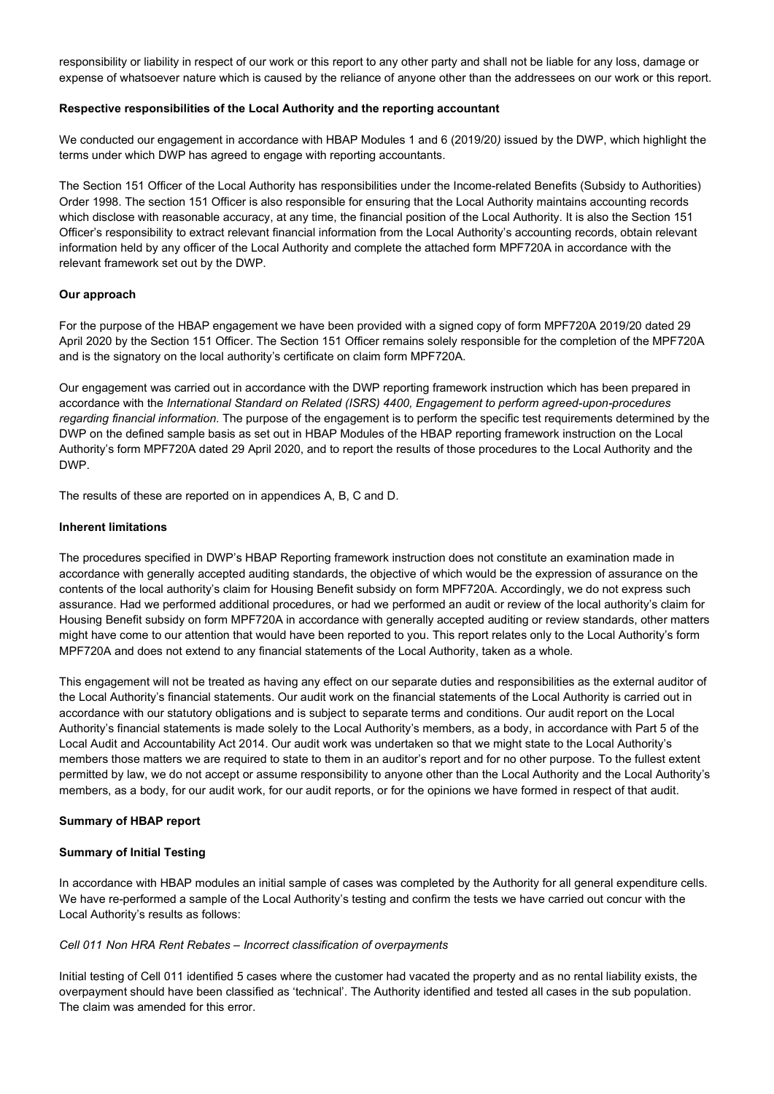responsibility or liability in respect of our work or this report to any other party and shall not be liable for any loss, damage or expense of whatsoever nature which is caused by the reliance of anyone other than the addressees on our work or this report.

# Respective responsibilities of the Local Authority and the reporting accountant

We conducted our engagement in accordance with HBAP Modules 1 and 6 (2019/20) issued by the DWP, which highlight the terms under which DWP has agreed to engage with reporting accountants.

The Section 151 Officer of the Local Authority has responsibilities under the Income-related Benefits (Subsidy to Authorities) Order 1998. The section 151 Officer is also responsible for ensuring that the Local Authority maintains accounting records which disclose with reasonable accuracy, at any time, the financial position of the Local Authority. It is also the Section 151 Officer's responsibility to extract relevant financial information from the Local Authority's accounting records, obtain relevant information held by any officer of the Local Authority and complete the attached form MPF720A in accordance with the relevant framework set out by the DWP.

#### Our approach

For the purpose of the HBAP engagement we have been provided with a signed copy of form MPF720A 2019/20 dated 29 April 2020 by the Section 151 Officer. The Section 151 Officer remains solely responsible for the completion of the MPF720A and is the signatory on the local authority's certificate on claim form MPF720A.

Our engagement was carried out in accordance with the DWP reporting framework instruction which has been prepared in accordance with the International Standard on Related (ISRS) 4400, Engagement to perform agreed-upon-procedures regarding financial information. The purpose of the engagement is to perform the specific test requirements determined by the DWP on the defined sample basis as set out in HBAP Modules of the HBAP reporting framework instruction on the Local Authority's form MPF720A dated 29 April 2020, and to report the results of those procedures to the Local Authority and the DWP.

The results of these are reported on in appendices A, B, C and D.

# Inherent limitations

The procedures specified in DWP's HBAP Reporting framework instruction does not constitute an examination made in accordance with generally accepted auditing standards, the objective of which would be the expression of assurance on the contents of the local authority's claim for Housing Benefit subsidy on form MPF720A. Accordingly, we do not express such assurance. Had we performed additional procedures, or had we performed an audit or review of the local authority's claim for Housing Benefit subsidy on form MPF720A in accordance with generally accepted auditing or review standards, other matters might have come to our attention that would have been reported to you. This report relates only to the Local Authority's form MPF720A and does not extend to any financial statements of the Local Authority, taken as a whole.

This engagement will not be treated as having any effect on our separate duties and responsibilities as the external auditor of the Local Authority's financial statements. Our audit work on the financial statements of the Local Authority is carried out in accordance with our statutory obligations and is subject to separate terms and conditions. Our audit report on the Local Authority's financial statements is made solely to the Local Authority's members, as a body, in accordance with Part 5 of the Local Audit and Accountability Act 2014. Our audit work was undertaken so that we might state to the Local Authority's members those matters we are required to state to them in an auditor's report and for no other purpose. To the fullest extent permitted by law, we do not accept or assume responsibility to anyone other than the Local Authority and the Local Authority's members, as a body, for our audit work, for our audit reports, or for the opinions we have formed in respect of that audit.

#### Summary of HBAP report

#### Summary of Initial Testing

In accordance with HBAP modules an initial sample of cases was completed by the Authority for all general expenditure cells. We have re-performed a sample of the Local Authority's testing and confirm the tests we have carried out concur with the Local Authority's results as follows:

# Cell 011 Non HRA Rent Rebates – Incorrect classification of overpayments

Initial testing of Cell 011 identified 5 cases where the customer had vacated the property and as no rental liability exists, the overpayment should have been classified as 'technical'. The Authority identified and tested all cases in the sub population. The claim was amended for this error.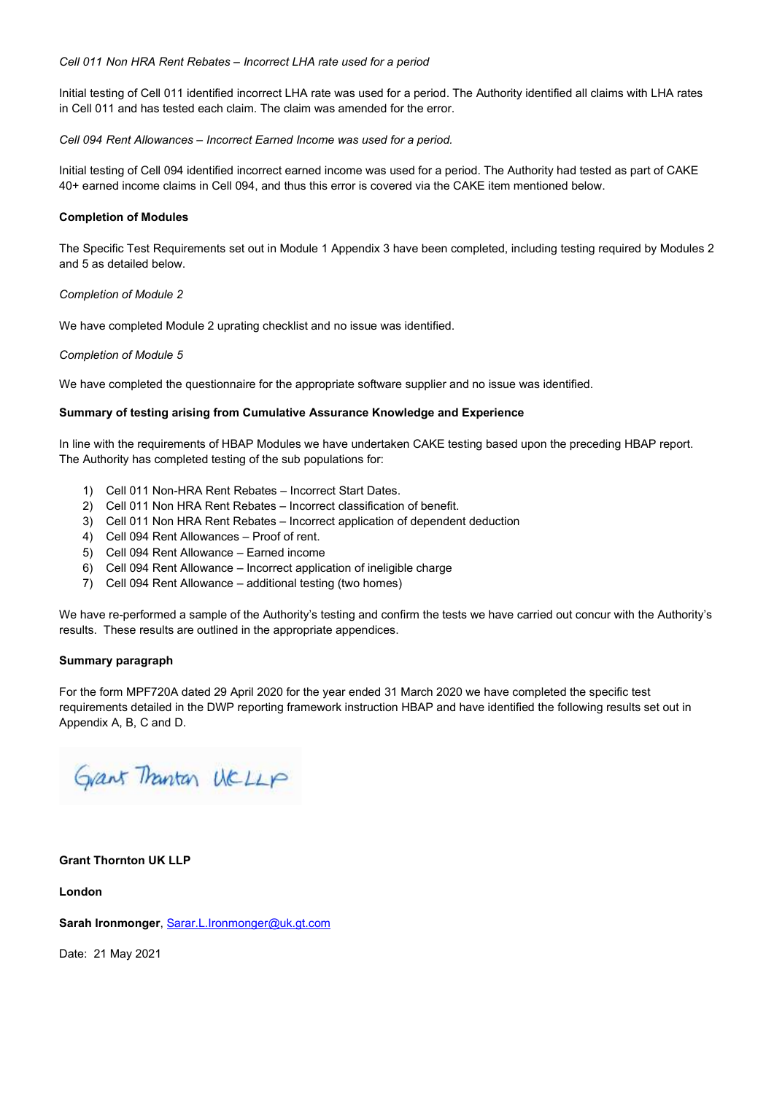# Cell 011 Non HRA Rent Rebates – Incorrect LHA rate used for a period

Initial testing of Cell 011 identified incorrect LHA rate was used for a period. The Authority identified all claims with LHA rates in Cell 011 and has tested each claim. The claim was amended for the error.

# Cell 094 Rent Allowances – Incorrect Earned Income was used for a period.

Initial testing of Cell 094 identified incorrect earned income was used for a period. The Authority had tested as part of CAKE 40+ earned income claims in Cell 094, and thus this error is covered via the CAKE item mentioned below.

# Completion of Modules

The Specific Test Requirements set out in Module 1 Appendix 3 have been completed, including testing required by Modules 2 and 5 as detailed below.

#### Completion of Module 2

We have completed Module 2 uprating checklist and no issue was identified.

# Completion of Module 5

We have completed the questionnaire for the appropriate software supplier and no issue was identified.

# Summary of testing arising from Cumulative Assurance Knowledge and Experience

In line with the requirements of HBAP Modules we have undertaken CAKE testing based upon the preceding HBAP report. The Authority has completed testing of the sub populations for:

- 1) Cell 011 Non-HRA Rent Rebates Incorrect Start Dates.
- 2) Cell 011 Non HRA Rent Rebates Incorrect classification of benefit.
- 3) Cell 011 Non HRA Rent Rebates Incorrect application of dependent deduction
- 4) Cell 094 Rent Allowances Proof of rent.
- 5) Cell 094 Rent Allowance Earned income
- 6) Cell 094 Rent Allowance Incorrect application of ineligible charge
- 7) Cell 094 Rent Allowance additional testing (two homes)

We have re-performed a sample of the Authority's testing and confirm the tests we have carried out concur with the Authority's results. These results are outlined in the appropriate appendices.

#### Summary paragraph

For the form MPF720A dated 29 April 2020 for the year ended 31 March 2020 we have completed the specific test requirements detailed in the DWP reporting framework instruction HBAP and have identified the following results set out in Appendix A, B, C and D.

Grant Thanton UCLLP

# Grant Thornton UK LLP

London

Sarah Ironmonger, Sarar.L.Ironmonger@uk.gt.com

Date: 21 May 2021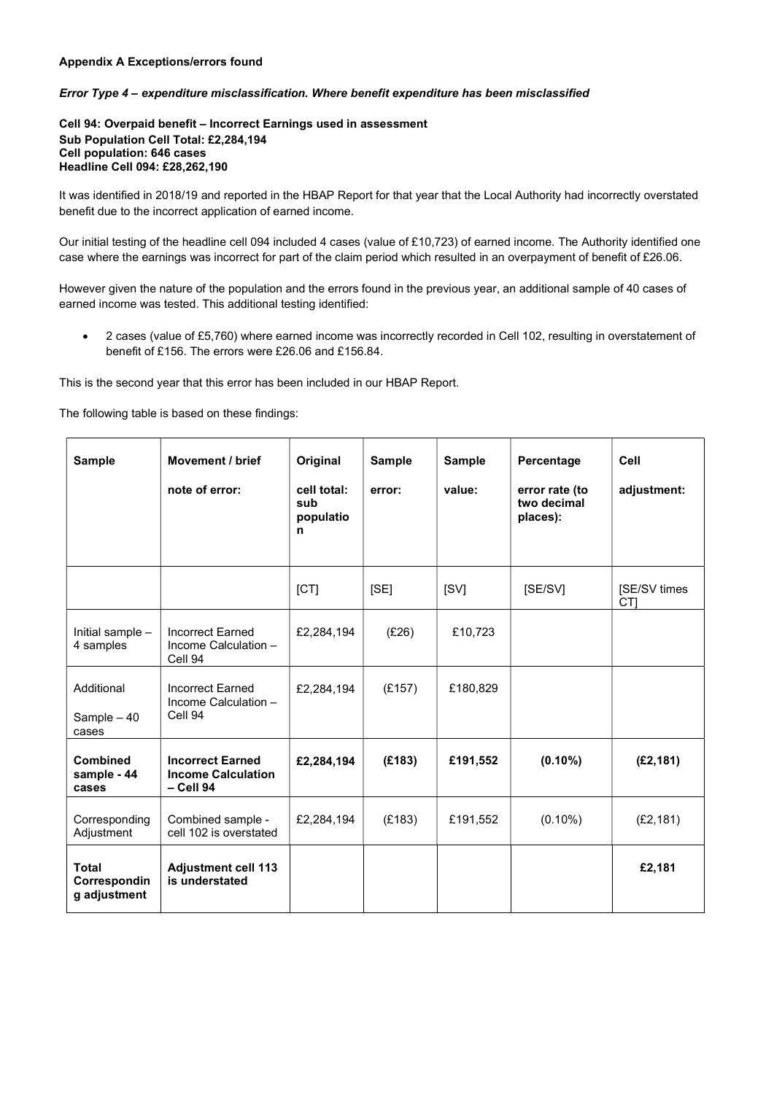# Appendix A Exceptions/errors found

#### Error Type 4 – expenditure misclassification. Where benefit expenditure has been misclassified

Cell 94: Overpaid benefit – Incorrect Earnings used in assessment Sub Population Cell Total: £2,284,194 Cell population: 646 cases Headline Cell 094: £28,262,190

It was identified in 2018/19 and reported in the HBAP Report for that year that the Local Authority had incorrectly overstated benefit due to the incorrect application of earned income.

Our initial testing of the headline cell 094 included 4 cases (value of £10,723) of earned income. The Authority identified one case where the earnings was incorrect for part of the claim period which resulted in an overpayment of benefit of £26.06.

However given the nature of the population and the errors found in the previous year, an additional sample of 40 cases of earned income was tested. This additional testing identified:

 2 cases (value of £5,760) where earned income was incorrectly recorded in Cell 102, resulting in overstatement of benefit of £156. The errors were £26.06 and £156.84.

This is the second year that this error has been included in our HBAP Report.

The following table is based on these findings:

| <b>Sample</b>                                | <b>Movement / brief</b><br>note of error:                           | Original<br>cell total:<br>sub<br>populatio<br>n | <b>Sample</b><br>error: | <b>Sample</b><br>value: | Percentage<br>error rate (to<br>two decimal<br>places): | Cell<br>adjustment:             |
|----------------------------------------------|---------------------------------------------------------------------|--------------------------------------------------|-------------------------|-------------------------|---------------------------------------------------------|---------------------------------|
|                                              |                                                                     | [CT]                                             | [SE]                    | [SV]                    | [SE/SV]                                                 | [SE/SV times<br>CT <sub>1</sub> |
| Initial sample -<br>4 samples                | <b>Incorrect Earned</b><br>Income Calculation -<br>Cell 94          | £2,284,194                                       | (E26)                   | £10,723                 |                                                         |                                 |
| Additional<br>Sample - 40<br>cases           | <b>Incorrect Earned</b><br>Income Calculation -<br>Cell 94          | £2,284,194                                       | (E157)                  | £180,829                |                                                         |                                 |
| <b>Combined</b><br>sample - 44<br>cases      | <b>Incorrect Earned</b><br><b>Income Calculation</b><br>$-$ Cell 94 | £2,284,194                                       | (E183)                  | £191,552                | $(0.10\%)$                                              | (E2, 181)                       |
| Corresponding<br>Adjustment                  | Combined sample -<br>cell 102 is overstated                         | £2,284,194                                       | (E183)                  | £191,552                | $(0.10\%)$                                              | (E2, 181)                       |
| <b>Total</b><br>Correspondin<br>g adjustment | <b>Adjustment cell 113</b><br>is understated                        |                                                  |                         |                         |                                                         | £2,181                          |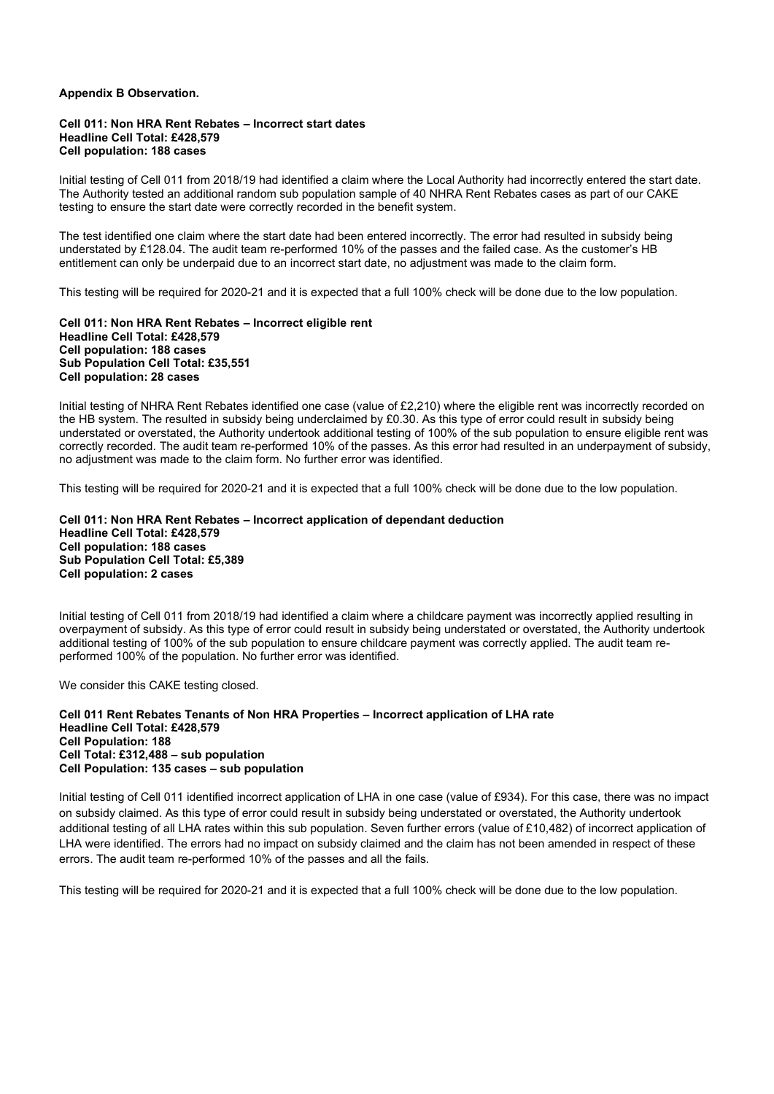#### Appendix B Observation.

#### Cell 011: Non HRA Rent Rebates – Incorrect start dates Headline Cell Total: £428,579 Cell population: 188 cases

Initial testing of Cell 011 from 2018/19 had identified a claim where the Local Authority had incorrectly entered the start date. The Authority tested an additional random sub population sample of 40 NHRA Rent Rebates cases as part of our CAKE testing to ensure the start date were correctly recorded in the benefit system.

The test identified one claim where the start date had been entered incorrectly. The error had resulted in subsidy being understated by £128.04. The audit team re-performed 10% of the passes and the failed case. As the customer's HB entitlement can only be underpaid due to an incorrect start date, no adjustment was made to the claim form.

This testing will be required for 2020-21 and it is expected that a full 100% check will be done due to the low population.

Cell 011: Non HRA Rent Rebates – Incorrect eligible rent Headline Cell Total: £428,579 Cell population: 188 cases Sub Population Cell Total: £35,551 Cell population: 28 cases

Initial testing of NHRA Rent Rebates identified one case (value of £2,210) where the eligible rent was incorrectly recorded on the HB system. The resulted in subsidy being underclaimed by £0.30. As this type of error could result in subsidy being understated or overstated, the Authority undertook additional testing of 100% of the sub population to ensure eligible rent was correctly recorded. The audit team re-performed 10% of the passes. As this error had resulted in an underpayment of subsidy, no adjustment was made to the claim form. No further error was identified.

This testing will be required for 2020-21 and it is expected that a full 100% check will be done due to the low population.

#### Cell 011: Non HRA Rent Rebates – Incorrect application of dependant deduction Headline Cell Total: £428,579 Cell population: 188 cases Sub Population Cell Total: £5,389 Cell population: 2 cases

Initial testing of Cell 011 from 2018/19 had identified a claim where a childcare payment was incorrectly applied resulting in overpayment of subsidy. As this type of error could result in subsidy being understated or overstated, the Authority undertook additional testing of 100% of the sub population to ensure childcare payment was correctly applied. The audit team reperformed 100% of the population. No further error was identified.

We consider this CAKE testing closed.

Cell 011 Rent Rebates Tenants of Non HRA Properties – Incorrect application of LHA rate Headline Cell Total: £428,579 Cell Population: 188 Cell Total: £312,488 – sub population Cell Population: 135 cases – sub population

Initial testing of Cell 011 identified incorrect application of LHA in one case (value of £934). For this case, there was no impact on subsidy claimed. As this type of error could result in subsidy being understated or overstated, the Authority undertook additional testing of all LHA rates within this sub population. Seven further errors (value of £10,482) of incorrect application of LHA were identified. The errors had no impact on subsidy claimed and the claim has not been amended in respect of these errors. The audit team re-performed 10% of the passes and all the fails.

This testing will be required for 2020-21 and it is expected that a full 100% check will be done due to the low population.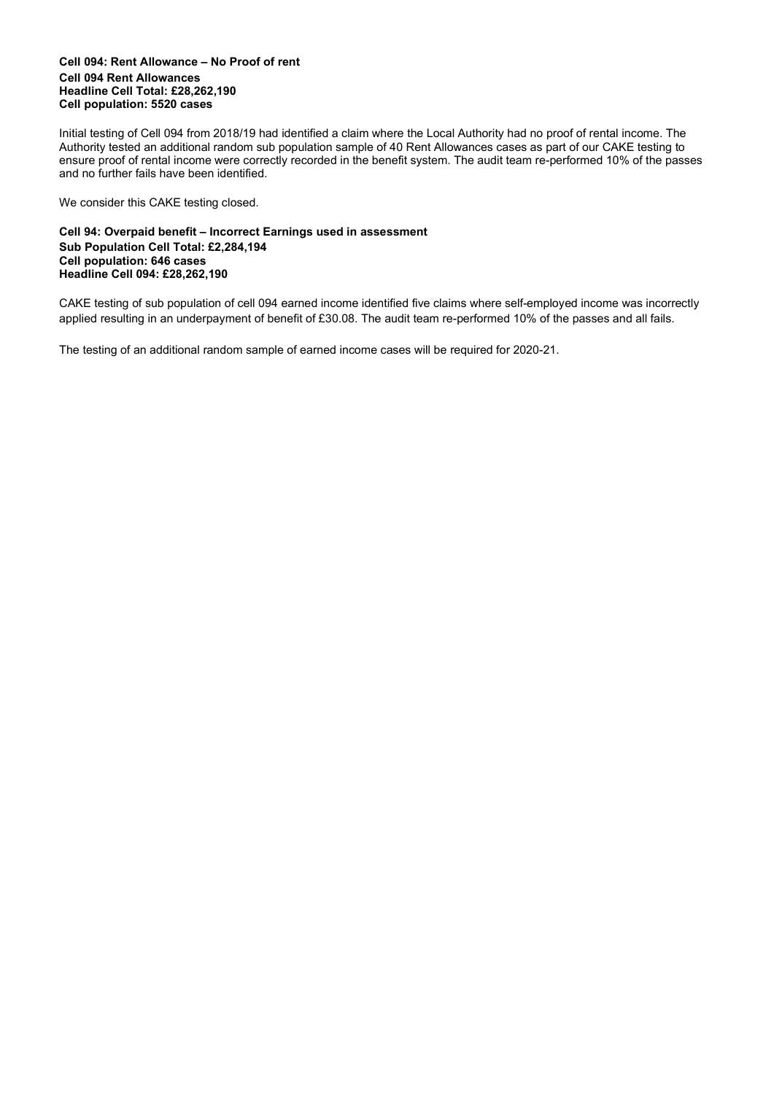#### Cell 094: Rent Allowance – No Proof of rent Cell 094 Rent Allowances Headline Cell Total: £28,262,190 Cell population: 5520 cases

Initial testing of Cell 094 from 2018/19 had identified a claim where the Local Authority had no proof of rental income. The Authority tested an additional random sub population sample of 40 Rent Allowances cases as part of our CAKE testing to ensure proof of rental income were correctly recorded in the benefit system. The audit team re-performed 10% of the passes and no further fails have been identified.

We consider this CAKE testing closed.

# Cell 94: Overpaid benefit – Incorrect Earnings used in assessment Sub Population Cell Total: £2,284,194 Cell population: 646 cases Headline Cell 094: £28,262,190

CAKE testing of sub population of cell 094 earned income identified five claims where self-employed income was incorrectly applied resulting in an underpayment of benefit of £30.08. The audit team re-performed 10% of the passes and all fails.

The testing of an additional random sample of earned income cases will be required for 2020-21.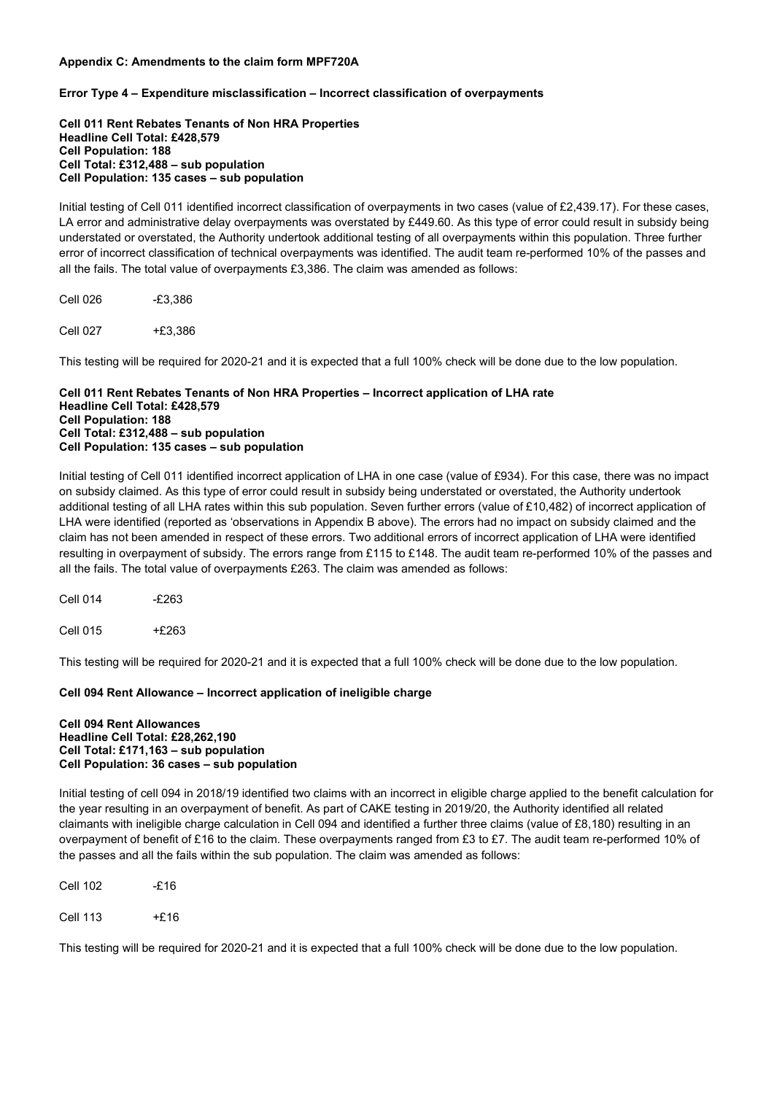# Appendix C: Amendments to the claim form MPF720A

# Error Type 4 – Expenditure misclassification – Incorrect classification of overpayments

Cell 011 Rent Rebates Tenants of Non HRA Properties Headline Cell Total: £428,579 Cell Population: 188 Cell Total: £312,488 – sub population Cell Population: 135 cases – sub population

Initial testing of Cell 011 identified incorrect classification of overpayments in two cases (value of £2,439.17). For these cases, LA error and administrative delay overpayments was overstated by £449.60. As this type of error could result in subsidy being understated or overstated, the Authority undertook additional testing of all overpayments within this population. Three further error of incorrect classification of technical overpayments was identified. The audit team re-performed 10% of the passes and all the fails. The total value of overpayments £3,386. The claim was amended as follows:

| Cell 026 | $-£3,386$ |
|----------|-----------|
|          |           |

Cell 027 +£3,386

This testing will be required for 2020-21 and it is expected that a full 100% check will be done due to the low population.

#### Cell 011 Rent Rebates Tenants of Non HRA Properties – Incorrect application of LHA rate Headline Cell Total: £428,579 Cell Population: 188 Cell Total: £312,488 – sub population Cell Population: 135 cases – sub population

Initial testing of Cell 011 identified incorrect application of LHA in one case (value of £934). For this case, there was no impact on subsidy claimed. As this type of error could result in subsidy being understated or overstated, the Authority undertook additional testing of all LHA rates within this sub population. Seven further errors (value of £10,482) of incorrect application of LHA were identified (reported as 'observations in Appendix B above). The errors had no impact on subsidy claimed and the claim has not been amended in respect of these errors. Two additional errors of incorrect application of LHA were identified resulting in overpayment of subsidy. The errors range from £115 to £148. The audit team re-performed 10% of the passes and all the fails. The total value of overpayments £263. The claim was amended as follows:

Cell 014 -£263 Cell 015 +£263

This testing will be required for 2020-21 and it is expected that a full 100% check will be done due to the low population.

# Cell 094 Rent Allowance – Incorrect application of ineligible charge

#### Cell 094 Rent Allowances Headline Cell Total: £28,262,190 Cell Total: £171,163 – sub population Cell Population: 36 cases – sub population

Initial testing of cell 094 in 2018/19 identified two claims with an incorrect in eligible charge applied to the benefit calculation for the year resulting in an overpayment of benefit. As part of CAKE testing in 2019/20, the Authority identified all related claimants with ineligible charge calculation in Cell 094 and identified a further three claims (value of £8,180) resulting in an overpayment of benefit of £16 to the claim. These overpayments ranged from £3 to £7. The audit team re-performed 10% of the passes and all the fails within the sub population. The claim was amended as follows:

Cell 102 -£16

Cell 113 +£16

This testing will be required for 2020-21 and it is expected that a full 100% check will be done due to the low population.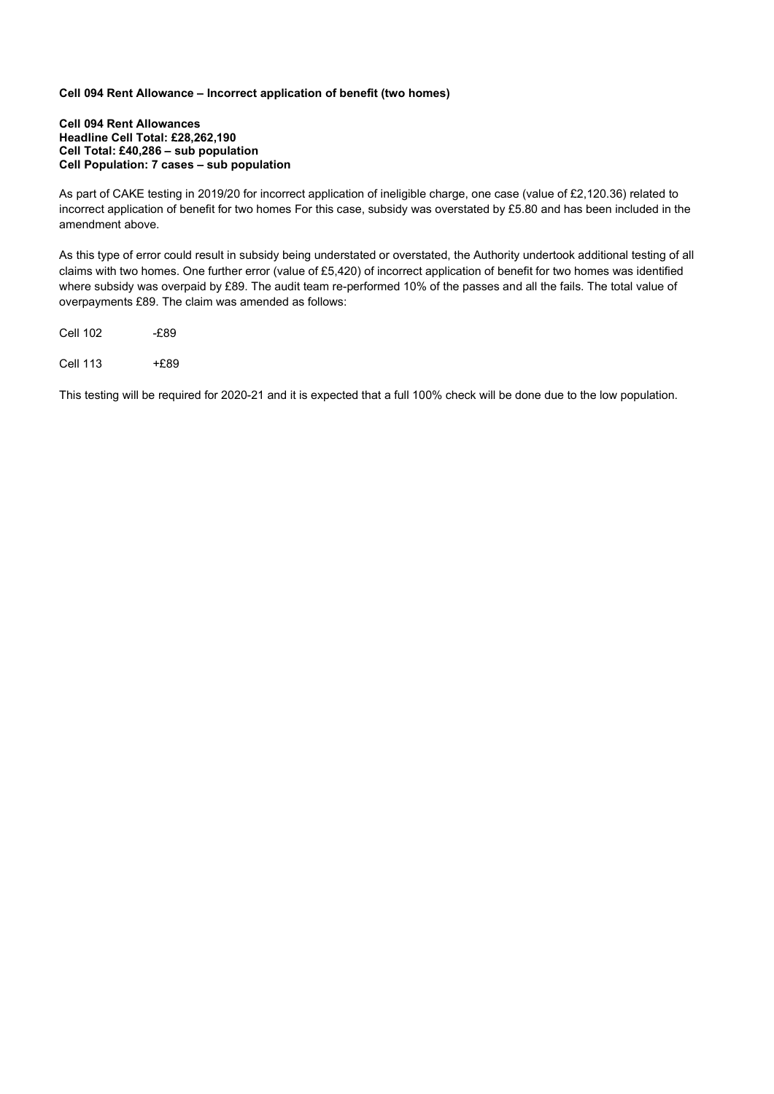# Cell 094 Rent Allowance – Incorrect application of benefit (two homes)

#### Cell 094 Rent Allowances Headline Cell Total: £28,262,190 Cell Total: £40,286 – sub population Cell Population: 7 cases – sub population

As part of CAKE testing in 2019/20 for incorrect application of ineligible charge, one case (value of £2,120.36) related to incorrect application of benefit for two homes For this case, subsidy was overstated by £5.80 and has been included in the amendment above.

As this type of error could result in subsidy being understated or overstated, the Authority undertook additional testing of all claims with two homes. One further error (value of £5,420) of incorrect application of benefit for two homes was identified where subsidy was overpaid by £89. The audit team re-performed 10% of the passes and all the fails. The total value of overpayments £89. The claim was amended as follows:

Cell 102 -£89

Cell 113 +£89

This testing will be required for 2020-21 and it is expected that a full 100% check will be done due to the low population.